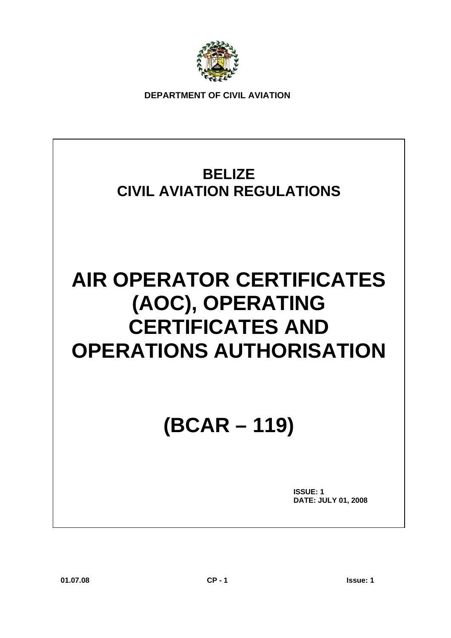

**DEPARTMENT OF CIVIL AVIATION** 

### **BELIZE CIVIL AVIATION REGULATIONS**

## **AIR OPERATOR CERTIFICATES (AOC), OPERATING CERTIFICATES AND OPERATIONS AUTHORISATION**

## **(BCAR – 119)**

 **ISSUE: 1 DATE: JULY 01, 2008**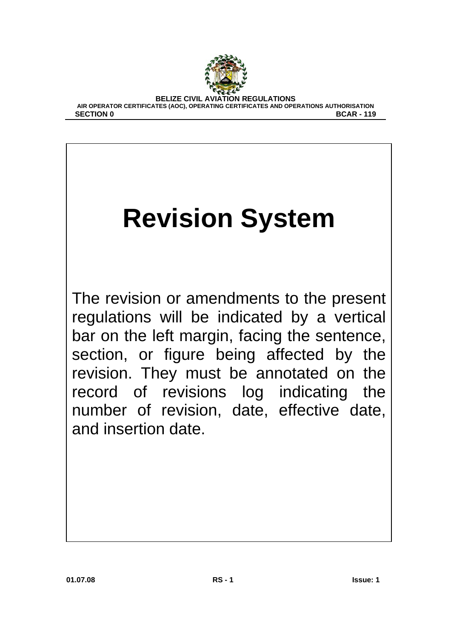

# **Revision System**

The revision or amendments to the present regulations will be indicated by a vertical bar on the left margin, facing the sentence, section, or figure being affected by the revision. They must be annotated on the record of revisions log indicating the number of revision, date, effective date, and insertion date.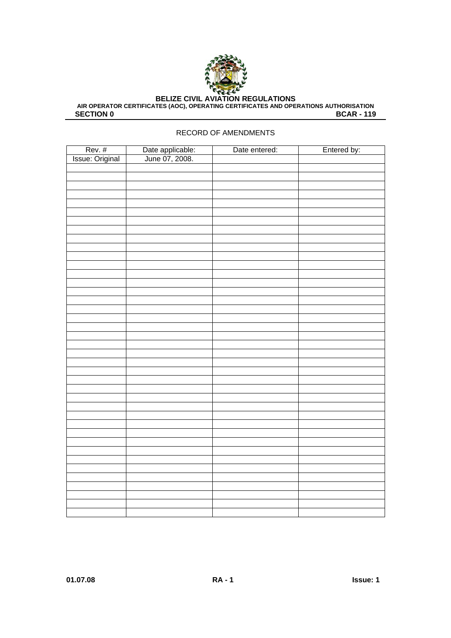

**AIR OPERATOR CERTIFICATES (AOC), OPERATING CERTIFICATES AND OPERATIONS AUTHORISATION SECTION 0** BCAR - 119

#### RECORD OF AMENDMENTS

| Rev. #<br>Issue: Original | Date applicable:<br>June 07, 2008. | Date entered: | Entered by: |
|---------------------------|------------------------------------|---------------|-------------|
|                           |                                    |               |             |
|                           |                                    |               |             |
|                           |                                    |               |             |
|                           |                                    |               |             |
|                           |                                    |               |             |
|                           |                                    |               |             |
|                           |                                    |               |             |
|                           |                                    |               |             |
|                           |                                    |               |             |
|                           |                                    |               |             |
|                           |                                    |               |             |
|                           |                                    |               |             |
|                           |                                    |               |             |
|                           |                                    |               |             |
|                           |                                    |               |             |
|                           |                                    |               |             |
|                           |                                    |               |             |
|                           |                                    |               |             |
|                           |                                    |               |             |
|                           |                                    |               |             |
|                           |                                    |               |             |
|                           |                                    |               |             |
|                           |                                    |               |             |
|                           |                                    |               |             |
|                           |                                    |               |             |
|                           |                                    |               |             |
|                           |                                    |               |             |
|                           |                                    |               |             |
|                           |                                    |               |             |
|                           |                                    |               |             |
|                           |                                    |               |             |
|                           |                                    |               |             |
|                           |                                    |               |             |
|                           |                                    |               |             |
|                           |                                    |               |             |
|                           |                                    |               |             |
|                           |                                    |               |             |
|                           |                                    |               |             |
|                           |                                    |               |             |
|                           |                                    |               |             |
|                           |                                    |               |             |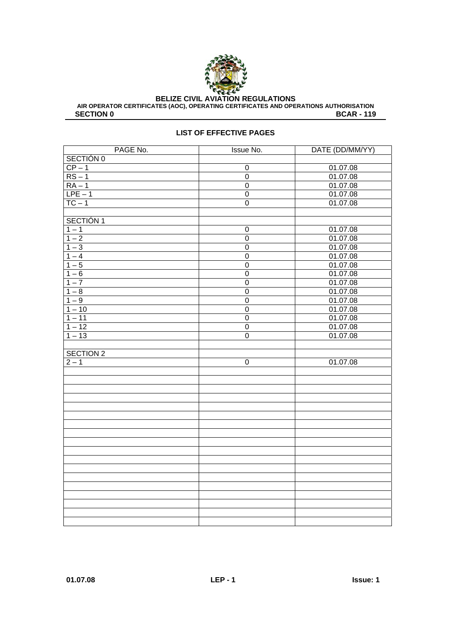

AIR OPERATOR CERTIFICATES (AOC), OPERATING CERTIFICATES AND OPERATIONS AUTHORISATION<br>BCAR - 119 **BCAR - 119** 

#### **LIST OF EFFECTIVE PAGES**

| PAGE No.         | <b>Issue No.</b> | DATE (DD/MM/YY) |
|------------------|------------------|-----------------|
| SECTIÓN 0        |                  |                 |
| $CP - 1$         | $\overline{0}$   | 01.07.08        |
| $RS-1$           | $\overline{0}$   | 01.07.08        |
| $RA - 1$         | $\mathsf 0$      | 01.07.08        |
| $LPE-1$          | $\overline{0}$   | 01.07.08        |
| $TC - 1$         | $\mathbf 0$      | 01.07.08        |
|                  |                  |                 |
| SECTIÓN 1        |                  |                 |
| $1 - 1$          | $\mathbf 0$      | 01.07.08        |
| $1 - 2$          | $\overline{0}$   | 01.07.08        |
| $1 - 3$          | $\mathbf 0$      | 01.07.08        |
| $1 - 4$          | $\overline{0}$   | 01.07.08        |
| $1 - 5$          | $\overline{0}$   | 01.07.08        |
| $1 - 6$          | $\overline{0}$   | 01.07.08        |
| $1 - 7$          | $\overline{0}$   | 01.07.08        |
| $1 - 8$          | $\overline{0}$   | 01.07.08        |
| $1 - 9$          | $\overline{0}$   | 01.07.08        |
| $1 - 10$         | $\overline{0}$   | 01.07.08        |
| $1 - 11$         | $\mathbf 0$      | 01.07.08        |
| $1 - 12$         | $\overline{0}$   | 01.07.08        |
| $1 - 13$         | $\overline{0}$   | 01.07.08        |
|                  |                  |                 |
| <b>SECTION 2</b> |                  |                 |
| $2 - 1$          | $\mathbf 0$      | 01.07.08        |
|                  |                  |                 |
|                  |                  |                 |
|                  |                  |                 |
|                  |                  |                 |
|                  |                  |                 |
|                  |                  |                 |
|                  |                  |                 |
|                  |                  |                 |
|                  |                  |                 |
|                  |                  |                 |
|                  |                  |                 |
|                  |                  |                 |
|                  |                  |                 |
|                  |                  |                 |
|                  |                  |                 |
|                  |                  |                 |
|                  |                  |                 |
|                  |                  |                 |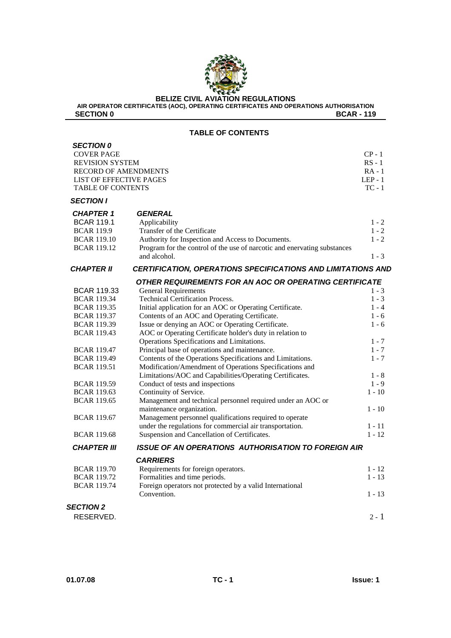

**AIR OPERATOR CERTIFICATES (AOC), OPERATING CERTIFICATES AND OPERATIONS AUTHORISATION SECTION 0** BOAR - 119

#### **TABLE OF CONTENTS**

| <b>SECTION 0</b><br><b>COVER PAGE</b><br><b>REVISION SYSTEM</b><br><b>RECORD OF AMENDMENTS</b><br>LIST OF EFFECTIVE PAGES<br><b>TABLE OF CONTENTS</b> |                                                                                                                                                                                                                 | $CP - 1$<br>$RS - 1$<br>$RA - 1$<br>$LEP - 1$<br>$TC - 1$ |
|-------------------------------------------------------------------------------------------------------------------------------------------------------|-----------------------------------------------------------------------------------------------------------------------------------------------------------------------------------------------------------------|-----------------------------------------------------------|
| <b>SECTION I</b>                                                                                                                                      |                                                                                                                                                                                                                 |                                                           |
| <b>CHAPTER 1</b><br><b>BCAR 119.1</b><br><b>BCAR 119.9</b><br><b>BCAR 119.10</b><br><b>BCAR 119.12</b>                                                | <b>GENERAL</b><br>Applicability<br>Transfer of the Certificate<br>Authority for Inspection and Access to Documents.<br>Program for the control of the use of narcotic and enervating substances<br>and alcohol. | $1 - 2$<br>$1 - 2$<br>$1 - 2$<br>$1 - 3$                  |
| <b>CHAPTER II</b>                                                                                                                                     | CERTIFICATION, OPERATIONS SPECIFICATIONS AND LIMITATIONS AND                                                                                                                                                    |                                                           |
| <b>BCAR 119.33</b><br><b>BCAR 119.34</b>                                                                                                              | OTHER REQUIREMENTS FOR AN AOC OR OPERATING CERTIFICATE<br><b>General Requirements</b><br><b>Technical Certification Process.</b>                                                                                | $1 - 3$<br>$1 - 3$                                        |
| <b>BCAR 119.35</b><br><b>BCAR 119.37</b><br><b>BCAR 119.39</b>                                                                                        | Initial application for an AOC or Operating Certificate.<br>Contents of an AOC and Operating Certificate.<br>Issue or denying an AOC or Operating Certificate.                                                  | $1 - 4$<br>$1 - 6$<br>$1 - 6$                             |
| <b>BCAR 119.43</b>                                                                                                                                    | AOC or Operating Certificate holder's duty in relation to<br>Operations Specifications and Limitations.                                                                                                         | $1 - 7$                                                   |
| <b>BCAR 119.47</b><br><b>BCAR 119.49</b><br><b>BCAR 119.51</b>                                                                                        | Principal base of operations and maintenance.<br>Contents of the Operations Specifications and Limitations.<br>Modification/Amendment of Operations Specifications and                                          | $1 - 7$<br>$1 - 7$                                        |
| <b>BCAR 119.59</b><br><b>BCAR 119.63</b>                                                                                                              | Limitations/AOC and Capabilities/Operating Certificates.<br>Conduct of tests and inspections<br>Continuity of Service.                                                                                          | $1 - 8$<br>$1 - 9$<br>$1 - 10$                            |
| <b>BCAR 119.65</b><br><b>BCAR 119.67</b>                                                                                                              | Management and technical personnel required under an AOC or<br>maintenance organization.<br>Management personnel qualifications required to operate                                                             | $1 - 10$                                                  |
| <b>BCAR 119.68</b>                                                                                                                                    | under the regulations for commercial air transportation.<br>Suspension and Cancellation of Certificates.                                                                                                        | $1 - 11$<br>$1 - 12$                                      |
| <b>CHAPTER III</b>                                                                                                                                    | <b>ISSUE OF AN OPERATIONS AUTHORISATION TO FOREIGN AIR</b>                                                                                                                                                      |                                                           |
| <b>BCAR 119.70</b><br><b>BCAR 119.72</b><br><b>BCAR 119.74</b>                                                                                        | <b>CARRIERS</b><br>Requirements for foreign operators.<br>Formalities and time periods.<br>Foreign operators not protected by a valid International<br>Convention.                                              | $1 - 12$<br>$1 - 13$<br>$1 - 13$                          |
| <b>SECTION 2</b><br>RESERVED.                                                                                                                         |                                                                                                                                                                                                                 | $2 - 1$                                                   |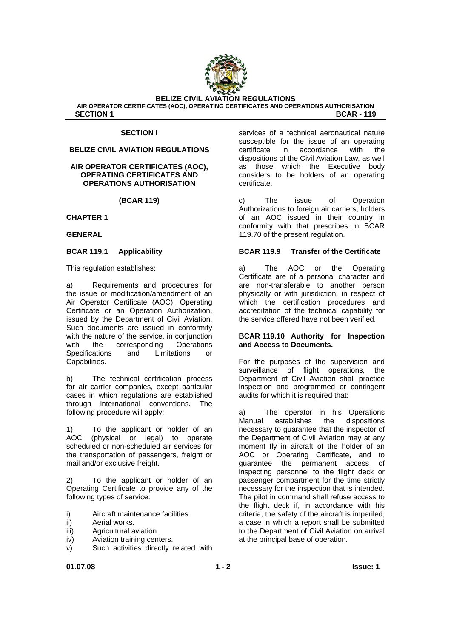

#### **SECTION I**

#### **BELIZE CIVIL AVIATION REGULATIONS**

#### **AIR OPERATOR CERTIFICATES (AOC), OPERATING CERTIFICATES AND OPERATIONS AUTHORISATION**

**(BCAR 119)** 

#### **CHAPTER 1**

**GENERAL** 

#### **BCAR 119.1 Applicability**

This regulation establishes:

a) Requirements and procedures for the issue or modification/amendment of an Air Operator Certificate (AOC), Operating Certificate or an Operation Authorization, issued by the Department of Civil Aviation. Such documents are issued in conformity with the nature of the service, in conjunction with the corresponding Operations Specifications and Limitations or Capabilities.

b) The technical certification process for air carrier companies, except particular cases in which regulations are established through international conventions. The following procedure will apply:

1) To the applicant or holder of an<br>AOC (physical or legal) to operate  $(p$ hysical or legal) to operate scheduled or non-scheduled air services for the transportation of passengers, freight or mail and/or exclusive freight.

2) To the applicant or holder of an Operating Certificate to provide any of the following types of service:

- i) Aircraft maintenance facilities.
- ii) Aerial works.
- iii) Agricultural aviation
- iv) Aviation training centers.
- v) Such activities directly related with

services of a technical aeronautical nature susceptible for the issue of an operating certificate in accordance with the dispositions of the Civil Aviation Law, as well as those which the Executive body considers to be holders of an operating certificate.

c) The issue of Operation Authorizations to foreign air carriers, holders of an AOC issued in their country in conformity with that prescribes in BCAR 119.70 of the present regulation.

#### **BCAR 119.9 Transfer of the Certificate**

a) The AOC or the Operating Certificate are of a personal character and are non-transferable to another person physically or with jurisdiction, in respect of which the certification procedures and accreditation of the technical capability for the service offered have not been verified.

#### **BCAR 119.10 Authority for Inspection and Access to Documents.**

For the purposes of the supervision and surveillance of flight operations, the Department of Civil Aviation shall practice inspection and programmed or contingent audits for which it is required that:

a) The operator in his Operations Manual establishes the dispositions necessary to guarantee that the inspector of the Department of Civil Aviation may at any moment fly in aircraft of the holder of an AOC or Operating Certificate, and to guarantee the permanent access of inspecting personnel to the flight deck or passenger compartment for the time strictly necessary for the inspection that is intended. The pilot in command shall refuse access to the flight deck if, in accordance with his criteria, the safety of the aircraft is imperiled, a case in which a report shall be submitted to the Department of Civil Aviation on arrival at the principal base of operation.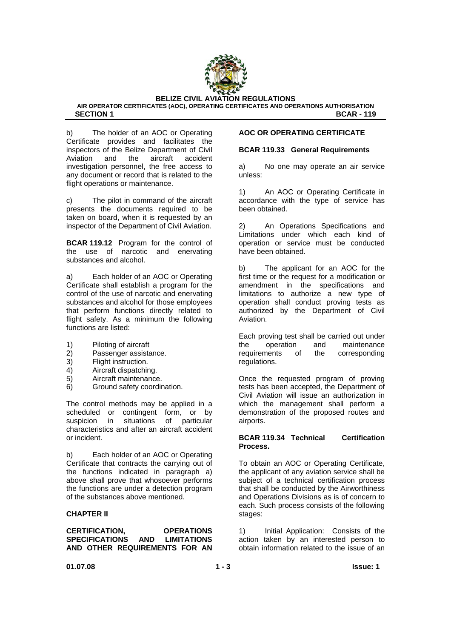

**AIR OPERATOR CERTIFICATES (AOC), OPERATING CERTIFICATES AND OPERATIONS AUTHORISATION SECTION 1** BCAR - 119

b) The holder of an AOC or Operating Certificate provides and facilitates the inspectors of the Belize Department of Civil Aviation and the aircraft accident investigation personnel, the free access to any document or record that is related to the flight operations or maintenance.

c) The pilot in command of the aircraft presents the documents required to be taken on board, when it is requested by an inspector of the Department of Civil Aviation.

**BCAR 119.12** Program for the control of the use of narcotic and enervating substances and alcohol.

a) Each holder of an AOC or Operating Certificate shall establish a program for the control of the use of narcotic and enervating substances and alcohol for those employees that perform functions directly related to flight safety. As a minimum the following functions are listed:

- 1) Piloting of aircraft
- 2) Passenger assistance.
- 3) Flight instruction.
- 4) Aircraft dispatching.
- 5) Aircraft maintenance.
- 6) Ground safety coordination.

The control methods may be applied in a scheduled or contingent form, or by suspicion in situations of particular characteristics and after an aircraft accident or incident.

b) Each holder of an AOC or Operating Certificate that contracts the carrying out of the functions indicated in paragraph a) above shall prove that whosoever performs the functions are under a detection program of the substances above mentioned.

#### **CHAPTER II**

**CERTIFICATION, OPERATIONS SPECIFICATIONS AND LIMITATIONS AND OTHER REQUIREMENTS FOR AN** 

#### **AOC OR OPERATING CERTIFICATE**

#### **BCAR 119.33 General Requirements**

a) No one may operate an air service unless:

1) An AOC or Operating Certificate in accordance with the type of service has been obtained.

2) An Operations Specifications and Limitations under which each kind of operation or service must be conducted have been obtained.

b) The applicant for an AOC for the first time or the request for a modification or amendment in the specifications and limitations to authorize a new type of operation shall conduct proving tests as authorized by the Department of Civil Aviation.

Each proving test shall be carried out under the operation and maintenance requirements of the corresponding regulations.

Once the requested program of proving tests has been accepted, the Department of Civil Aviation will issue an authorization in which the management shall perform a demonstration of the proposed routes and airports.

#### **BCAR 119.34 Technical Certification Process.**

To obtain an AOC or Operating Certificate, the applicant of any aviation service shall be subject of a technical certification process that shall be conducted by the Airworthiness and Operations Divisions as is of concern to each. Such process consists of the following stages:

1) Initial Application: Consists of the action taken by an interested person to obtain information related to the issue of an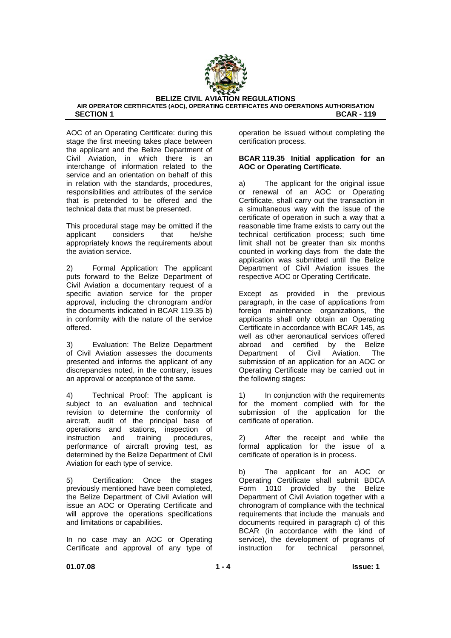

AOC of an Operating Certificate: during this stage the first meeting takes place between the applicant and the Belize Department of Civil Aviation, in which there is an interchange of information related to the service and an orientation on behalf of this in relation with the standards, procedures, responsibilities and attributes of the service that is pretended to be offered and the technical data that must be presented.

This procedural stage may be omitted if the applicant considers that he/she appropriately knows the requirements about the aviation service.

2) Formal Application: The applicant puts forward to the Belize Department of Civil Aviation a documentary request of a specific aviation service for the proper approval, including the chronogram and/or the documents indicated in BCAR 119.35 b) in conformity with the nature of the service offered.

3) Evaluation: The Belize Department of Civil Aviation assesses the documents presented and informs the applicant of any discrepancies noted, in the contrary, issues an approval or acceptance of the same.

4) Technical Proof: The applicant is subject to an evaluation and technical revision to determine the conformity of aircraft, audit of the principal base of operations and stations, inspection of instruction and training procedures, performance of aircraft proving test, as determined by the Belize Department of Civil Aviation for each type of service.

5) Certification: Once the stages previously mentioned have been completed, the Belize Department of Civil Aviation will issue an AOC or Operating Certificate and will approve the operations specifications and limitations or capabilities.

In no case may an AOC or Operating Certificate and approval of any type of operation be issued without completing the certification process.

#### **BCAR 119.35 Initial application for an AOC or Operating Certificate.**

a) The applicant for the original issue or renewal of an AOC or Operating Certificate, shall carry out the transaction in a simultaneous way with the issue of the certificate of operation in such a way that a reasonable time frame exists to carry out the technical certification process; such time limit shall not be greater than six months counted in working days from the date the application was submitted until the Belize Department of Civil Aviation issues the respective AOC or Operating Certificate.

Except as provided in the previous paragraph, in the case of applications from foreign maintenance organizations, the applicants shall only obtain an Operating Certificate in accordance with BCAR 145, as well as other aeronautical services offered abroad and certified by the Belize Department of Civil Aviation. The submission of an application for an AOC or Operating Certificate may be carried out in the following stages:

1) In conjunction with the requirements for the moment complied with for the submission of the application for the certificate of operation.

2) After the receipt and while the formal application for the issue of a certificate of operation is in process.

b) The applicant for an AOC or Operating Certificate shall submit BDCA Form 1010 provided by the Belize Department of Civil Aviation together with a chronogram of compliance with the technical requirements that include the manuals and documents required in paragraph c) of this BCAR (in accordance with the kind of service), the development of programs of instruction for technical personnel,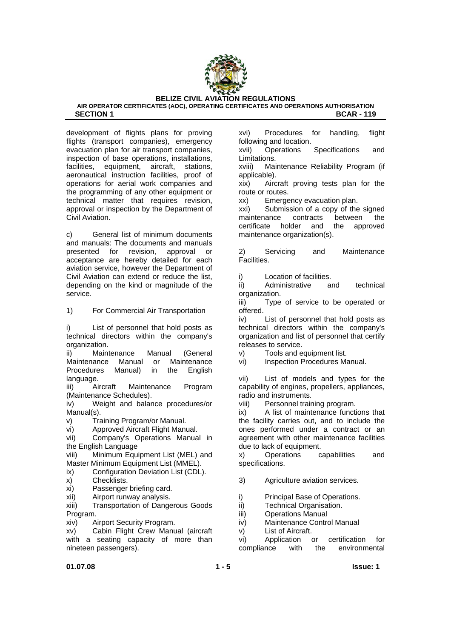

development of flights plans for proving flights (transport companies), emergency evacuation plan for air transport companies, inspection of base operations, installations,<br>facilities. equipment, aircraft, stations, facilities, equipment, aircraft, aeronautical instruction facilities, proof of operations for aerial work companies and the programming of any other equipment or technical matter that requires revision, approval or inspection by the Department of Civil Aviation.

c) General list of minimum documents and manuals: The documents and manuals presented for revision, approval or acceptance are hereby detailed for each aviation service, however the Department of Civil Aviation can extend or reduce the list, depending on the kind or magnitude of the service.

1) For Commercial Air Transportation

i) List of personnel that hold posts as technical directors within the company's organization.

ii) Maintenance Manual (General Maintenance Manual or Maintenance Procedures Manual) in the English language.

iii) Aircraft Maintenance Program (Maintenance Schedules).

iv) Weight and balance procedures/or Manual(s).

v) Training Program/or Manual.

vi) Approved Aircraft Flight Manual.

vii) Company's Operations Manual in the English Language

viii) Minimum Equipment List (MEL) and Master Minimum Equipment List (MMEL).

- ix) Configuration Deviation List (CDL).
- x) Checklists.
- xi) Passenger briefing card.
- xii) Airport runway analysis.

xiii) Transportation of Dangerous Goods Program.

xiv) Airport Security Program.

xv) Cabin Flight Crew Manual (aircraft with a seating capacity of more than nineteen passengers).

xvi) Procedures for handling, flight following and location.

xvii) Operations Specifications and Limitations.

xviii) Maintenance Reliability Program (if applicable).

xix) Aircraft proving tests plan for the route or routes.

xx) Emergency evacuation plan.

xxi) Submission of a copy of the signed maintenance contracts between the certificate holder and the approved maintenance organization(s).

2) Servicing and Maintenance Facilities.

i) Location of facilities.

ii) Administrative and technical organization.

iii) Type of service to be operated or offered.

iv) List of personnel that hold posts as technical directors within the company's organization and list of personnel that certify releases to service.

v) Tools and equipment list.

vi) Inspection Procedures Manual.

vii) List of models and types for the capability of engines, propellers, appliances, radio and instruments.

viii) Personnel training program.

ix) A list of maintenance functions that the facility carries out, and to include the ones performed under a contract or an agreement with other maintenance facilities due to lack of equipment.

x) Operations capabilities and specifications.

3) Agriculture aviation services.

i) Principal Base of Operations.

- ii) Technical Organisation.
- iii) Operations Manual
- iv) Maintenance Control Manual
- v) List of Aircraft.

vi) Application or certification for compliance with the environmental

#### **01.07.08** Issue: 1  $\bullet$  **1 - 5** Issue: 1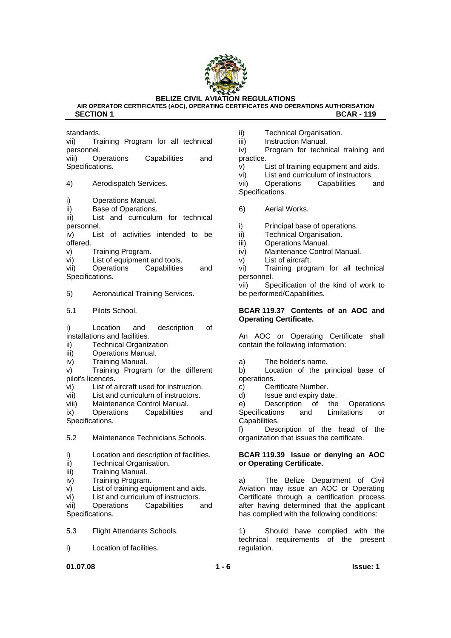

**AIR OPERATOR CERTIFICATES (AOC), OPERATING CERTIFICATES AND OPERATIONS AUTHORISATION SECTION 1** BCAR - 119

standards.

vii) Training Program for all technical personnel.

viii) Operations Capabilities and Specifications.

4) Aerodispatch Services.

- i) Operations Manual.
- ii) Base of Operations.

iii) List and curriculum for technical personnel.

iv) List of activities intended to be offered.

v) Training Program.

vi) List of equipment and tools.

vii) Operations Capabilities and Specifications.

5) Aeronautical Training Services.

5.1 Pilots School.

i) Location and description of installations and facilities.

- ii) Technical Organization
- iii) Operations Manual.
- iv) Training Manual.

v) Training Program for the different pilot's licences.

- vi) List of aircraft used for instruction.
- vii) List and curriculum of instructors.
- viii) Maintenance Control Manual.

ix) Operations Capabilities and Specifications.

- 5.2 Maintenance Technicians Schools.
- i) Location and description of facilities.
- ii) Technical Organisation.
- iii) Training Manual.
- iv) Training Program.
- v) List of training equipment and aids.
- vi) List and curriculum of instructors.

vii) Operations Capabilities and Specifications.

- 5.3 Flight Attendants Schools.
- i) Location of facilities.

ii) Technical Organisation.

iii) Instruction Manual.

iv) Program for technical training and practice.

v) List of training equipment and aids.

vi) List and curriculum of instructors.

vii) Operations Capabilities and Specifications.

6) Aerial Works.

i) Principal base of operations.

- ii) Technical Organisation.
- iii) Operations Manual.
- iv) Maintenance Control Manual.
- v) List of aircraft.

vi) Training program for all technical personnel.

vii) Specification of the kind of work to be performed/Capabilities.

#### **BCAR 119.37 Contents of an AOC and Operating Certificate.**

An AOC or Operating Certificate shall contain the following information:

a) The holder's name.

b) Location of the principal base of operations.

- c) Certificate Number.
- d) Issue and expiry date.

e) Description of the Operations Specifications and Limitations or Capabilities.

f) Description of the head of the organization that issues the certificate.

#### **BCAR 119.39 Issue or denying an AOC or Operating Certificate.**

a) The Belize Department of Civil Aviation may issue an AOC or Operating Certificate through a certification process after having determined that the applicant has complied with the following conditions:

1) Should have complied with the technical requirements of the present regulation.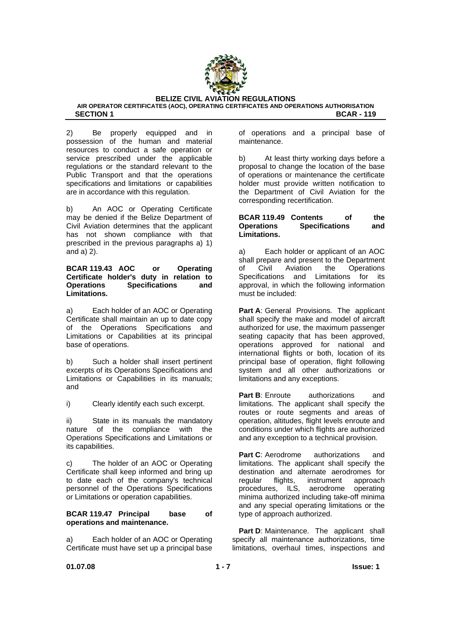

2) Be properly equipped and in possession of the human and material resources to conduct a safe operation or service prescribed under the applicable regulations or the standard relevant to the Public Transport and that the operations specifications and limitations or capabilities are in accordance with this regulation.

b) An AOC or Operating Certificate may be denied if the Belize Department of Civil Aviation determines that the applicant has not shown compliance with that prescribed in the previous paragraphs a) 1) and a) 2).

#### **BCAR 119.43 AOC or Operating Certificate holder's duty in relation to Operations Specifications and Limitations.**

a) Each holder of an AOC or Operating Certificate shall maintain an up to date copy of the Operations Specifications and Limitations or Capabilities at its principal base of operations.

b) Such a holder shall insert pertinent excerpts of its Operations Specifications and Limitations or Capabilities in its manuals; and

i) Clearly identify each such excerpt.

ii) State in its manuals the mandatory nature of the compliance with the Operations Specifications and Limitations or its capabilities.

c) The holder of an AOC or Operating Certificate shall keep informed and bring up to date each of the company's technical personnel of the Operations Specifications or Limitations or operation capabilities.

#### **BCAR 119.47 Principal base of operations and maintenance.**

a) Each holder of an AOC or Operating Certificate must have set up a principal base of operations and a principal base of maintenance.

b) At least thirty working days before a proposal to change the location of the base of operations or maintenance the certificate holder must provide written notification to the Department of Civil Aviation for the corresponding recertification.

#### **BCAR 119.49 Contents of the Operations Specifications and Limitations.**

a) Each holder or applicant of an AOC shall prepare and present to the Department of Civil Aviation the Operations Specifications and Limitations for its approval, in which the following information must be included:

**Part A: General Provisions. The applicant** shall specify the make and model of aircraft authorized for use, the maximum passenger seating capacity that has been approved, operations approved for national and international flights or both, location of its principal base of operation, flight following system and all other authorizations or limitations and any exceptions.

**Part B:** Enroute authorizations and limitations. The applicant shall specify the routes or route segments and areas of operation, altitudes, flight levels enroute and conditions under which flights are authorized and any exception to a technical provision.

**Part C:** Aerodrome authorizations and limitations. The applicant shall specify the destination and alternate aerodromes for regular flights, instrument approach procedures, ILS, aerodrome operating minima authorized including take-off minima and any special operating limitations or the type of approach authorized.

Part D: Maintenance. The applicant shall specify all maintenance authorizations, time limitations, overhaul times, inspections and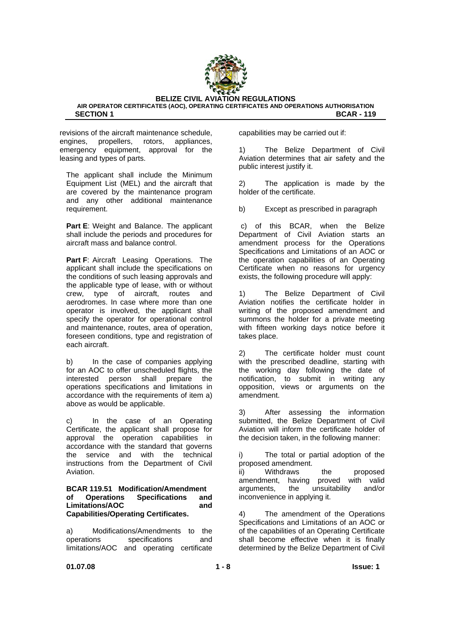

revisions of the aircraft maintenance schedule, engines, propellers, rotors, appliances, emergency equipment, approval for the leasing and types of parts.

The applicant shall include the Minimum Equipment List (MEL) and the aircraft that are covered by the maintenance program and any other additional maintenance requirement.

**Part E:** Weight and Balance. The applicant shall include the periods and procedures for aircraft mass and balance control.

**Part F**: Aircraft Leasing Operations. The applicant shall include the specifications on the conditions of such leasing approvals and the applicable type of lease, with or without crew, type of aircraft, routes and aerodromes. In case where more than one operator is involved, the applicant shall specify the operator for operational control and maintenance, routes, area of operation, foreseen conditions, type and registration of each aircraft.

b) In the case of companies applying for an AOC to offer unscheduled flights, the interested person shall prepare the operations specifications and limitations in accordance with the requirements of item a) above as would be applicable.

c) In the case of an Operating Certificate, the applicant shall propose for approval the operation capabilities in accordance with the standard that governs the service and with the technical instructions from the Department of Civil Aviation.

#### **BCAR 119.51 Modification/Amendment of Operations Specifications and**  Limitations/AOC and **Capabilities/Operating Certificates.**

a) Modifications/Amendments to the operations specifications and limitations/AOC and operating certificate capabilities may be carried out if:

1) The Belize Department of Civil Aviation determines that air safety and the public interest justify it.

2) The application is made by the holder of the certificate.

b) Except as prescribed in paragraph

 c) of this BCAR, when the Belize Department of Civil Aviation starts an amendment process for the Operations Specifications and Limitations of an AOC or the operation capabilities of an Operating Certificate when no reasons for urgency exists, the following procedure will apply:

1) The Belize Department of Civil Aviation notifies the certificate holder in writing of the proposed amendment and summons the holder for a private meeting with fifteen working days notice before it takes place.

2) The certificate holder must count with the prescribed deadline, starting with the working day following the date of notification, to submit in writing any opposition, views or arguments on the amendment.

3) After assessing the information submitted, the Belize Department of Civil Aviation will inform the certificate holder of the decision taken, in the following manner:

i) The total or partial adoption of the proposed amendment.

ii) Withdraws the proposed amendment, having proved with valid arguments, the unsuitability and/or inconvenience in applying it.

4) The amendment of the Operations Specifications and Limitations of an AOC or of the capabilities of an Operating Certificate shall become effective when it is finally determined by the Belize Department of Civil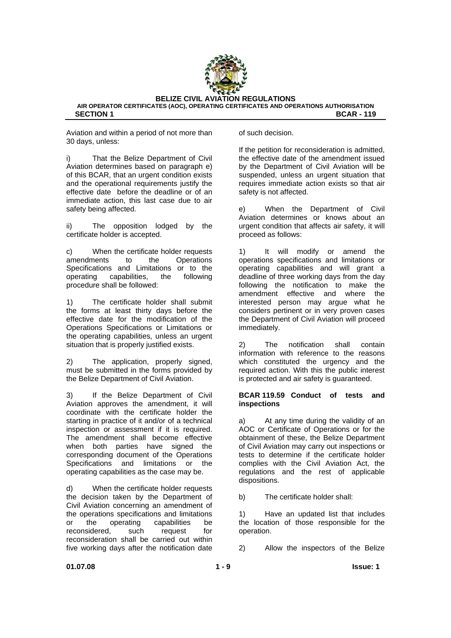

Aviation and within a period of not more than 30 days, unless:

i) That the Belize Department of Civil Aviation determines based on paragraph e) of this BCAR, that an urgent condition exists and the operational requirements justify the effective date before the deadline or of an immediate action, this last case due to air safety being affected.

ii) The opposition lodged by the certificate holder is accepted.

c) When the certificate holder requests amendments to the Operations Specifications and Limitations or to the operating capabilities, the following procedure shall be followed:

1) The certificate holder shall submit the forms at least thirty days before the effective date for the modification of the Operations Specifications or Limitations or the operating capabilities, unless an urgent situation that is properly justified exists.

2) The application, properly signed, must be submitted in the forms provided by the Belize Department of Civil Aviation.

3) If the Belize Department of Civil Aviation approves the amendment, it will coordinate with the certificate holder the starting in practice of it and/or of a technical inspection or assessment if it is required. The amendment shall become effective when both parties have signed the corresponding document of the Operations Specifications and limitations or the operating capabilities as the case may be.

d) When the certificate holder requests the decision taken by the Department of Civil Aviation concerning an amendment of the operations specifications and limitations or the operating capabilities be reconsidered, such request for reconsideration shall be carried out within five working days after the notification date

of such decision.

If the petition for reconsideration is admitted, the effective date of the amendment issued by the Department of Civil Aviation will be suspended, unless an urgent situation that requires immediate action exists so that air safety is not affected.

e) When the Department of Civil Aviation determines or knows about an urgent condition that affects air safety, it will proceed as follows:

1) It will modify or amend the operations specifications and limitations or operating capabilities and will grant a deadline of three working days from the day following the notification to make the amendment effective and where the interested person may argue what he considers pertinent or in very proven cases the Department of Civil Aviation will proceed immediately.

2) The notification shall contain information with reference to the reasons which constituted the urgency and the required action. With this the public interest is protected and air safety is guaranteed.

#### **BCAR 119.59 Conduct of tests and inspections**

a) At any time during the validity of an AOC or Certificate of Operations or for the obtainment of these, the Belize Department of Civil Aviation may carry out inspections or tests to determine if the certificate holder complies with the Civil Aviation Act, the regulations and the rest of applicable dispositions.

b) The certificate holder shall:

1) Have an updated list that includes the location of those responsible for the operation.

2) Allow the inspectors of the Belize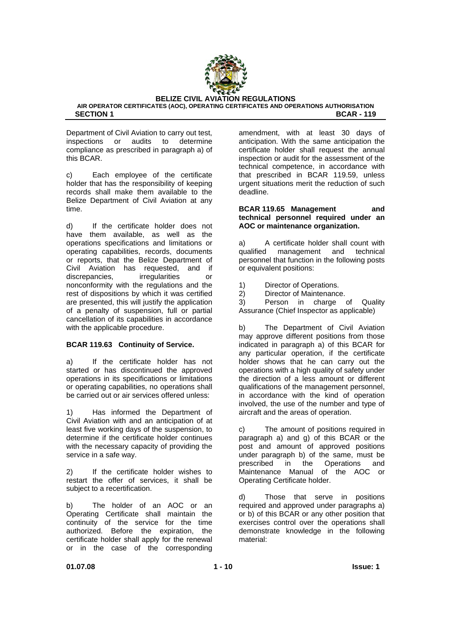

Department of Civil Aviation to carry out test,<br>inspections or audits to determine inspections or audits to determine compliance as prescribed in paragraph a) of this BCAR.

c) Each employee of the certificate holder that has the responsibility of keeping records shall make them available to the Belize Department of Civil Aviation at any time.

d) If the certificate holder does not have them available, as well as the operations specifications and limitations or operating capabilities, records, documents or reports, that the Belize Department of Civil Aviation has requested, and if discrepancies, irregularities or nonconformity with the regulations and the rest of dispositions by which it was certified are presented, this will justify the application of a penalty of suspension, full or partial cancellation of its capabilities in accordance with the applicable procedure.

#### **BCAR 119.63 Continuity of Service.**

a) If the certificate holder has not started or has discontinued the approved operations in its specifications or limitations or operating capabilities, no operations shall be carried out or air services offered unless:

1) Has informed the Department of Civil Aviation with and an anticipation of at least five working days of the suspension, to determine if the certificate holder continues with the necessary capacity of providing the service in a safe way.

2) If the certificate holder wishes to restart the offer of services, it shall be subject to a recertification.

b) The holder of an AOC or an Operating Certificate shall maintain the continuity of the service for the time authorized. Before the expiration, the certificate holder shall apply for the renewal or in the case of the corresponding

amendment, with at least 30 days of anticipation. With the same anticipation the certificate holder shall request the annual inspection or audit for the assessment of the technical competence, in accordance with that prescribed in BCAR 119.59, unless urgent situations merit the reduction of such deadline.

#### **BCAR 119.65 Management and technical personnel required under an AOC or maintenance organization.**

a) A certificate holder shall count with qualified management and technical personnel that function in the following posts or equivalent positions:

- 1) Director of Operations.
- 2) Director of Maintenance.

3) Person in charge of Quality Assurance (Chief Inspector as applicable)

b) The Department of Civil Aviation may approve different positions from those indicated in paragraph a) of this BCAR for any particular operation, if the certificate holder shows that he can carry out the operations with a high quality of safety under the direction of a less amount or different qualifications of the management personnel, in accordance with the kind of operation involved, the use of the number and type of aircraft and the areas of operation.

c) The amount of positions required in paragraph a) and g) of this BCAR or the post and amount of approved positions under paragraph b) of the same, must be prescribed in the Operations and Maintenance Manual of the AOC or Operating Certificate holder.

d) Those that serve in positions required and approved under paragraphs a) or b) of this BCAR or any other position that exercises control over the operations shall demonstrate knowledge in the following material: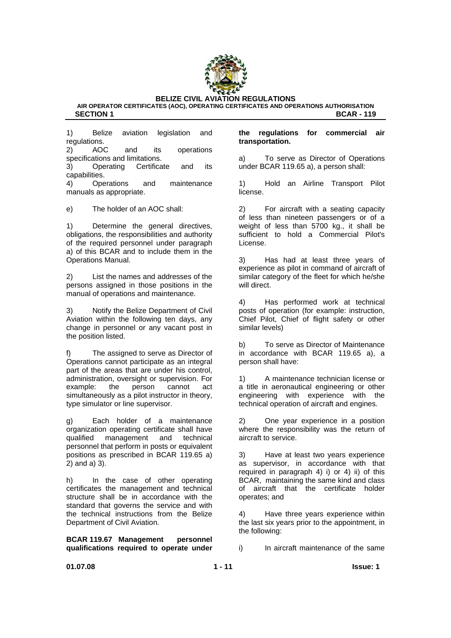

**AIR OPERATOR CERTIFICATES (AOC), OPERATING CERTIFICATES AND OPERATIONS AUTHORISATION SECTION 1** BCAR - 119

1) Belize aviation legislation and regulations.

2) AOC and its operations specifications and limitations.

3) Operating Certificate and its capabilities.

4) Operations and maintenance manuals as appropriate.

e) The holder of an AOC shall:

1) Determine the general directives, obligations, the responsibilities and authority of the required personnel under paragraph a) of this BCAR and to include them in the Operations Manual.

2) List the names and addresses of the persons assigned in those positions in the manual of operations and maintenance.

3) Notify the Belize Department of Civil Aviation within the following ten days, any change in personnel or any vacant post in the position listed.

f) The assigned to serve as Director of Operations cannot participate as an integral part of the areas that are under his control, administration, oversight or supervision. For example: the person cannot act simultaneously as a pilot instructor in theory, type simulator or line supervisor.

g) Each holder of a maintenance organization operating certificate shall have qualified management and technical personnel that perform in posts or equivalent positions as prescribed in BCAR 119.65 a) 2) and a) 3).

h) In the case of other operating certificates the management and technical structure shall be in accordance with the standard that governs the service and with the technical instructions from the Belize Department of Civil Aviation.

**BCAR 119.67 Management personnel qualifications required to operate under** 

#### **the regulations for commercial air transportation.**

a) To serve as Director of Operations under BCAR 119.65 a), a person shall:

1) Hold an Airline Transport Pilot license.

2) For aircraft with a seating capacity of less than nineteen passengers or of a weight of less than 5700 kg., it shall be sufficient to hold a Commercial Pilot's License.

3) Has had at least three years of experience as pilot in command of aircraft of similar category of the fleet for which he/she will direct.

4) Has performed work at technical posts of operation (for example: instruction, Chief Pilot, Chief of flight safety or other similar levels)

b) To serve as Director of Maintenance in accordance with BCAR 119.65 a), a person shall have:

1) A maintenance technician license or a title in aeronautical engineering or other engineering with experience with the technical operation of aircraft and engines.

2) One year experience in a position where the responsibility was the return of aircraft to service.

3) Have at least two years experience as supervisor, in accordance with that required in paragraph 4) i) or 4) ii) of this BCAR, maintaining the same kind and class of aircraft that the certificate holder operates; and

4) Have three years experience within the last six years prior to the appointment, in the following:

i) In aircraft maintenance of the same

**01.07.08 1 - 11 Issue: 1**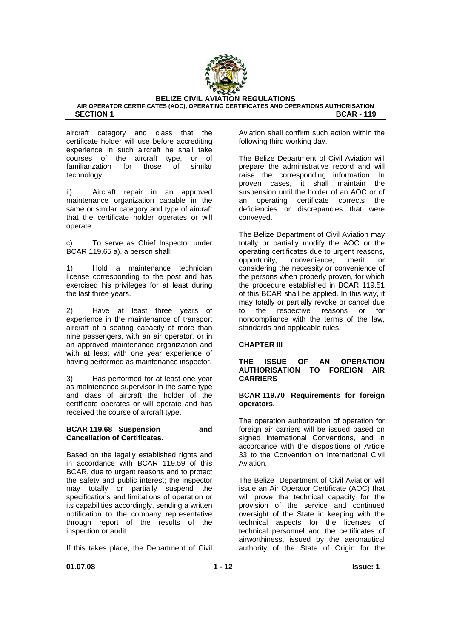

aircraft category and class that the certificate holder will use before accrediting experience in such aircraft he shall take courses of the aircraft type, or of familiarization for those of similar technology.

ii) Aircraft repair in an approved maintenance organization capable in the same or similar category and type of aircraft that the certificate holder operates or will operate.

c) To serve as Chief Inspector under BCAR 119.65 a), a person shall:

1) Hold a maintenance technician license corresponding to the post and has exercised his privileges for at least during the last three years.

2) Have at least three years of experience in the maintenance of transport aircraft of a seating capacity of more than nine passengers, with an air operator, or in an approved maintenance organization and with at least with one year experience of having performed as maintenance inspector.

3) Has performed for at least one year as maintenance supervisor in the same type and class of aircraft the holder of the certificate operates or will operate and has received the course of aircraft type.

#### **BCAR 119.68 Suspension and Cancellation of Certificates.**

Based on the legally established rights and in accordance with BCAR 119.59 of this BCAR, due to urgent reasons and to protect the safety and public interest; the inspector may totally or partially suspend the specifications and limitations of operation or its capabilities accordingly, sending a written notification to the company representative through report of the results of the inspection or audit.

If this takes place, the Department of Civil

Aviation shall confirm such action within the following third working day.

The Belize Department of Civil Aviation will prepare the administrative record and will raise the corresponding information. In proven cases, it shall maintain the suspension until the holder of an AOC or of an operating certificate corrects the deficiencies or discrepancies that were conveyed.

The Belize Department of Civil Aviation may totally or partially modify the AOC or the operating certificates due to urgent reasons, opportunity, convenience, merit or considering the necessity or convenience of the persons when properly proven, for which the procedure established in BCAR 119.51 of this BCAR shall be applied. In this way, it may totally or partially revoke or cancel due<br>to the respective reasons or for to the respective reasons or for noncompliance with the terms of the law, standards and applicable rules.

#### **CHAPTER III**

#### **THE ISSUE OF AN OPERATION AUTHORISATION TO FOREIGN AIR CARRIERS**

#### **BCAR 119.70 Requirements for foreign operators.**

The operation authorization of operation for foreign air carriers will be issued based on signed International Conventions, and in accordance with the dispositions of Article 33 to the Convention on International Civil Aviation.

The Belize Department of Civil Aviation will issue an Air Operator Certificate (AOC) that will prove the technical capacity for the provision of the service and continued oversight of the State in keeping with the technical aspects for the licenses of technical personnel and the certificates of airworthiness, issued by the aeronautical authority of the State of Origin for the

**01.07.08 1 - 12 Issue: 1**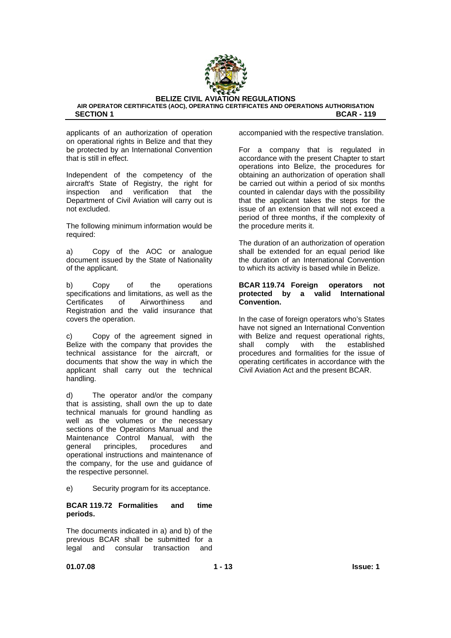

applicants of an authorization of operation on operational rights in Belize and that they be protected by an International Convention that is still in effect.

Independent of the competency of the aircraft's State of Registry, the right for inspection and verification that the Department of Civil Aviation will carry out is not excluded.

The following minimum information would be required:

a) Copy of the AOC or analogue document issued by the State of Nationality of the applicant.

b) Copy of the operations specifications and limitations, as well as the Certificates of Airworthiness and Registration and the valid insurance that covers the operation.

c) Copy of the agreement signed in Belize with the company that provides the technical assistance for the aircraft, or documents that show the way in which the applicant shall carry out the technical handling.

d) The operator and/or the company that is assisting, shall own the up to date technical manuals for ground handling as well as the volumes or the necessary sections of the Operations Manual and the Maintenance Control Manual, with the general principles, procedures and operational instructions and maintenance of the company, for the use and guidance of the respective personnel.

e) Security program for its acceptance.

#### **BCAR 119.72 Formalities and time periods.**

The documents indicated in a) and b) of the previous BCAR shall be submitted for a legal and consular transaction and

accompanied with the respective translation.

For a company that is regulated in accordance with the present Chapter to start operations into Belize, the procedures for obtaining an authorization of operation shall be carried out within a period of six months counted in calendar days with the possibility that the applicant takes the steps for the issue of an extension that will not exceed a period of three months, if the complexity of the procedure merits it.

The duration of an authorization of operation shall be extended for an equal period like the duration of an International Convention to which its activity is based while in Belize.

#### **BCAR 119.74 Foreign operators not protected by a valid International Convention.**

In the case of foreign operators who's States have not signed an International Convention with Belize and request operational rights, shall comply with the established procedures and formalities for the issue of operating certificates in accordance with the Civil Aviation Act and the present BCAR.